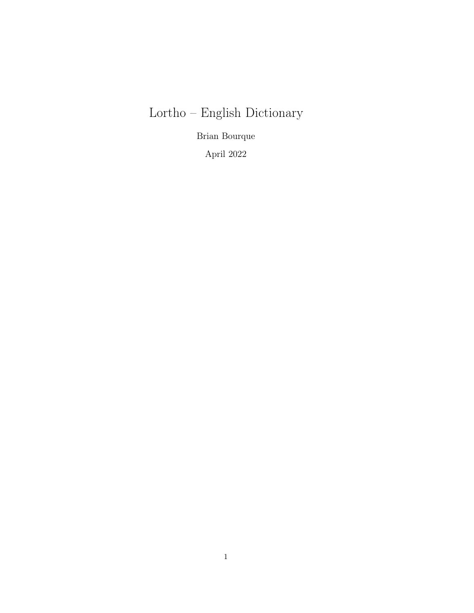# Lortho – English Dictionary

Brian Bourque

April 2022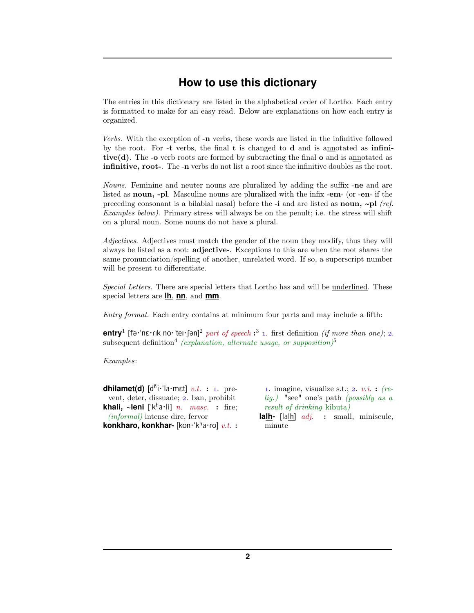## **How to use this dictionary**

The entries in this dictionary are listed in the alphabetical order of Lortho. Each entry is formatted to make for an easy read. Below are explanations on how each entry is organized.

Verbs. With the exception of -n verbs, these words are listed in the infinitive followed by the root. For -t verbs, the final  $t$  is changed to  $d$  and is annotated as infinitive(d). The -o verb roots are formed by subtracting the final  $\alpha$  and is annotated as infinitive, root-. The -n verbs do not list a root since the infinitive doubles as the root.

Nouns. Feminine and neuter nouns are pluralized by adding the suffix -ne and are listed as noun, -pl. Masculine nouns are pluralized with the infix -em- (or -en- if the preceding consonant is a bilabial nasal) before the -i and are listed as noun, **~**pl (ref. Examples below). Primary stress will always be on the penult; i.e. the stress will shift on a plural noun. Some nouns do not have a plural.

Adjectives. Adjectives must match the gender of the noun they modify, thus they will always be listed as a root: adjective-. Exceptions to this are when the root shares the same pronunciation/spelling of another, unrelated word. If so, a superscript number will be present to differentiate.

Special Letters. There are special letters that Lortho has and will be underlined. These special letters are **lh**, **nn**, and **mm**.

Entry format. Each entry contains at minimum four parts and may include a fifth:

**entry**<sup>1</sup> [fə·'nɛ·rɪk no·'teɪ·ʃən]<sup>2</sup> part of speech :<sup>3</sup> 1. first definition *(if more than one)*; 2. subsequent definition<sup>4</sup> (explanation, alternate usage, or supposition)<sup>5</sup>

#### Examples:

**dhilamet(d)**  $[d^{\hat{n}}\mathbf{i} \cdot \mathbf{a} \cdot \text{met}]$  v.t. : 1. prevent, deter, dissuade; 2. ban, prohibit **khali, ~leni** ['k<sup>h</sup>a·li]  $n.$  masc. : fire; (informal) intense dire, fervor **konkharo, konkhar-** [kon·ˈkʰa·ɾo]  $v.t.$  **:** 

1. imagine, visualize s.t.; 2.  $v.i.$  : (relig.) "see" one's path (possibly as a result of drinking kibuta)

**lalh-** [lalh] *adj.* : small, miniscule, minute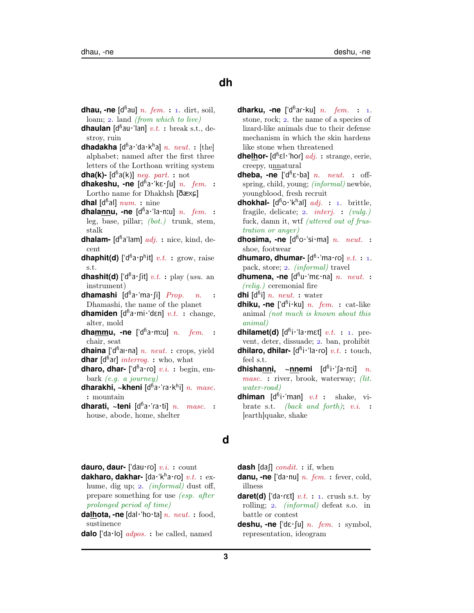## **dh**

- **dhau, -ne** [d<sup>fi</sup>au] *n. fem.* : 1. dirt, soil, loam;  $2.$  land (from which to live)
- **dhaulan** [d<sup>fi</sup>au·'lan] v.t.: break s.t., destroy, ruin
- dhadakha [d<sup>fi</sup>a·'da·k<sup>h</sup>a] n. neut.: [the] alphabet; named after the first three letters of the Lorthoan writing system **dha(k)-** [d<sup>fi</sup>a(k)] *neg. part.* : not
- dhakeshu, -ne [dha·kɛ·su] n. fem. : Lortho name for Dhakhsh  $[δæxç]$ **dhal** [d<sup>fi</sup>al]  $num.$  : nine
- dhalannu, -ne [dha·'la·n:u] n. fem. : leg, base, pillar; (bot.) trunk, stem, stalk
- **dhalam-** [d<sup>fi</sup>a'lam] *adj.* : nice, kind, decent
- **dhaphit(d)** [' $d^{\text{fi}}a \cdot p^{\text{h}}$ it]  $v.t.$  : grow, raise s.t.
- **dhashit(d)** ['d<sup>fi</sup>a·fit]  $v.t.$  : play (usu. an instrument)
- **dhamashi** [d<sup>ɦ</sup>a·ˈma·ʃi] *Prop. n.* : Dhamashi, the name of the planet
- **dhamiden** [d<sup>fi</sup>a·mi·'dɛn] v.t. : change, alter, mold
- dhammu, -ne ['d<sup>fi</sup>a·m:u] n. fem. : chair, seat
- dhaina ['dhai·na] n. neut. : crops, yield **dhar** [d<sup>fi</sup>ar] *interrog.* : who, what
- dharo, dhar- ['d<sup>fi</sup>a·ro] v.i. : begin, embark (e.g. a journey)
- **dharakhi, ~kheni** [d<sup>ñ</sup>a·ˈɾa·kʰi] *n. masc.* : mountain
- **dharati, ~teni** [d<sup>fi</sup>a·'ra·ti] n. masc. : house, abode, home, shelter
- **dharku, -ne** ['d<sup>fi</sup>ar·ku] *n. fem.* : 1. stone, rock; 2. the name of a species of lizard-like animals due to their defense mechanism in which the skin hardens like stone when threatened
- **dhe<u>lh</u>or-** [d<sup>fi</sup>ɛl·'hoɾ] *adj.* : strange, eerie, creepy, unnatural
- **dheba, -ne** [' $d^{\hat{n}}\epsilon \cdot ba$ ] *n. neut.* : offspring, child, young; (informal) newbie, youngblood, fresh recruit
- **dhokhal-** [d<sup>ho</sup>·'k<sup>h</sup>al] *adj.* : 1. brittle, fragile, delicate;  $2.$  *interj.* : *(vulg.)* fuck, damn it, wtf (uttered out of frustration or anger)
- **dhosima, -ne** [d<sup>ń</sup>o·ˈsi·ma] *n. neut.* : shoe, footwear
- **dhumaro, dhumar-** [d<sup>fi, '</sup>ma·ro] v.t.: 1. pack, store; 2. *(informal)* travel
- dhumena, -ne [dhu·'mɛ·na] n. neut. : (relig.) ceremonial fire
- **dhi** [dʰi] *n. neut.* : water
- **dhiku, -ne** ['d<sup>fi</sup>i·ku] n. fem. : cat-like animal (not much is known about this animal)
- **dhilamet(d)**  $[d^{\text{fi}} \cdot '$ la·mɛt]  $v.t.$  : 1. prevent, deter, dissuade; 2. ban, prohibit **dhilaro, dhilar-** [d<sup>fi</sup>i·'la·ro] v.t.: touch, feel s.t.
- **dhisha<u>nn</u>i, ~<u>nn</u>emi [d<sup>ĥ</sup>i·ˈʃa·nːi]** *n.* masc. : river, brook, waterway; (lit. water-road)
- **dhiman** [d<sup>if</sup>i·'man]  $v.t$  : shake, vibrate s.t. *(back and forth)*;  $v.i.$  : [earth]quake, shake

#### **d**

dauro, daur- ['dau·ro] v.i. : count

- dakharo, dakhar- [da·'kha·ro] v.t. : exhume, dig up; 2. *(informal)* dust off, prepare something for use (esp. after prolonged period of time)
- dalhota, -ne [dal·'ho·ta] n. neut. : food, sustinence
- **dalo** ['da·lo] *adpos.* : be called, named
- **dash** [daf]  $condit.$  : if, when
- danu, -ne ['da·nu] n. fem. : fever, cold, illness
- **daret(d)** ['da·rɛt]  $v.t.$  : 1. crush s.t. by rolling; 2. *(informal)* defeat s.o. in battle or contest
- **deshu, -ne**  $\left[ \text{'d}\varepsilon \cdot \text{du} \right] n.$  *fem.* : symbol, representation, ideogram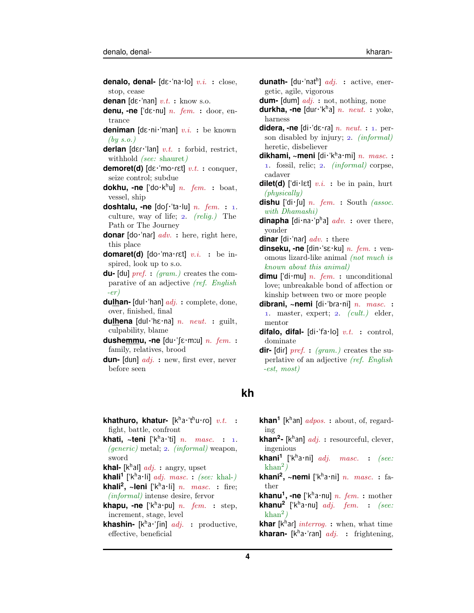- **denalo, denal-** [dɛ·'na·lo] v.i. : close, stop, cease **denan**  $[\text{d}\varepsilon \cdot \text{'nan}]$   $v.t.$  : know s.o. **denu, -ne** ["dE·nu] n. fem. : door, entrance **deniman**  $[d\varepsilon \cdot ni \cdot 'man]$  v.i. : be known
- $(by s.o.)$ **derlan**  $[\text{der--}\text{tan}]$   $v.t.$  : forbid, restrict,
- withhold *(see: shauret)* **demoret(d)**  $\left[ \det$  mo $\cdot$ ret $\right]$  v.t. : conquer,
- seize control; subdue
- **dokhu, -ne** ['do·k<sup>h</sup>u] *n. fem.* : boat, vessel, ship
- **doshtalu, -ne**  $\text{Ido}[\cdot]$ 'ta·lu] *n. fem.* : 1. culture, way of life;  $2.$  (relig.) The Path or The Journey
- **donar**  $\text{Id}\sigma\text{-} \text{nar}$   $\text{ad}v$ . : here, right here, this place
- domaret(d) [do·'ma·rɛt] v.i. : be inspired, look up to s.o.
- **du-** [du] pref. : (gram.) creates the comparative of an adjective (ref. English  $-er)$
- **dulhan-** [dul·"han] adj. : complete, done, over, finished, final
- **dulhena** [dul·'hɛ·na]  $n.$   $neut.$  **:** guilt, culpability, blame
- dushemmu, -ne [du·'fɛ·mːu] n. fem. : family, relatives, brood
- **dun-** [dun] *adj.* : new, first ever, never before seen

## **kh**

- **khathuro, khatur-** [kʰa・ˈtʰu·ɾo] v.t. : fight, battle, confront **khati, ~teni**  $[$ 'k<sup>h</sup>a·'ti] *n. masc.* : 1.  $(qeneric)$  metal; 2.  $(informal)$  weapon, sword
- **khal-** [k<sup>h</sup>al] *adj.* : angry, upset
- **khali<sup>1</sup>** ['k<sup>h</sup>a·li] *adj. masc.* : *(see: khal-)* **khali<sup>2</sup>, ~leni** ['k<sup>h</sup>a·li] *n. masc.* : fire;
- (informal) intense desire, fervor
- **khapu, -ne** ['k<sup>h</sup>a·pu] *n. fem.* : step, increment, stage, level
- **khashin-** [k<sup>h</sup>a·'fin] *adj.* : productive, effective, beneficial
- **dunath-** [du·'nat<sup>h</sup>] *adj.* : active, energetic, agile, vigorous
- **dum-** [dum] *adj.* : not, nothing, none
- **durkha, -ne** [dur·'k<sup>h</sup>a] n. neut. : yoke, harness
- **didera, -ne**  $\left[ \text{di·'d } \varepsilon \cdot \text{rad} \right] n$ . neut. : 1. person disabled by injury;  $2.$  (informal) heretic, disbeliever
- **dikhami, ~meni** [di・ˈkʰa・mi] *n. masc.* : 1. fossil, relic; 2. *(informal)* corpse, cadaver
- **dilet(d)** ['di·lɛt]  $v.i.$  : be in pain, hurt (physically)
- **dishu** ['di $\cdot$ [u] *n. fem.* : South *(assoc.*) with Dhamashi)
- **dinapha** [di·na·<sup>'</sup>p<sup>h</sup>a]  $adv.$  : over there, yonder
- **dinar** [di·'nar]  $adv.$  : there
- **dinseku, -ne** [din·"sE·ku] n. fem. : venomous lizard-like animal (not much is known about this animal)
- **dimu** ['di·mu]  $n.$  fem. : unconditional love; unbreakable bond of affection or kinship between two or more people
- **dibrani, ~nemi** [di·'bra·ni] n. masc. : 1. master, expert;  $2.$   $(cult.)$  elder, mentor
- difalo, difal- [di·'fa·lo] v.t. : control, dominate
- **dir-** [dir]  $pref.$  : (gram.) creates the superlative of an adjective (ref. English -est, most)
- **khan<sup>1</sup>** [k<sup>h</sup>an] *adpos.* : about, of, regarding **khan<sup>2</sup>**- [k<sup>h</sup>an] *adj.* : resourceful, clever, ingenious **khani<sup>1</sup> [ˈk<sup>h</sup>**  $masc.$  : (see:  $\mathrm{khan^2}$ ) **khani<sup>2</sup>, ~nemi** ['k<sup>h</sup>a·ni] *n. masc.* : father **khanu<sup>1</sup>, -ne** ['kʰa·nu] *n. fem.* : mother **khanu<sup>2</sup>** ['k<sup>h</sup>a·nu]  $adj.$  fem. : (see:  $\mathrm{khan^2}$ )
- **khar** [k<sup>h</sup>ar] *interrog.* : when, what time **kharan-** [k<sup>h</sup>a·'ran] *adj.* : frightening,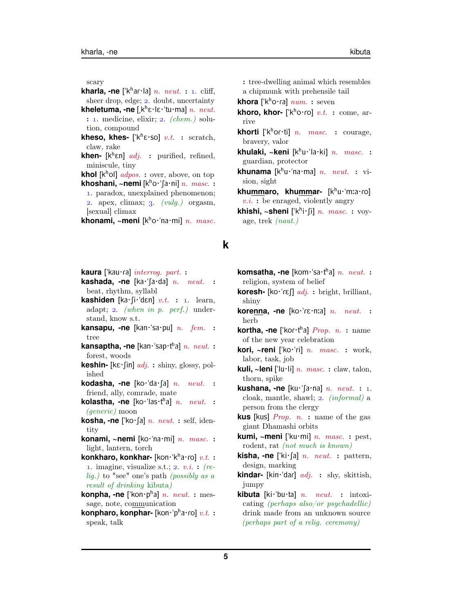scary

**kharla, -ne** ['k<sup>h</sup>aɾ·la] n. neut. : 1. cliff, sheer drop, edge; 2. doubt, uncertainty

**kheletuma, -ne**  $\left[\mathbf{k}^{\text{h}}\boldsymbol{\varepsilon}\cdot\mathbf{k}\boldsymbol{\varepsilon}\cdot\mathbf{u}\cdot\mathbf{m}\right]$  *n. neut.*  $: 1.$  medicine, elixir;  $2.$  (chem.) solution, compound

- **kheso, khes-**  $[\n\mathbf{k}^h \mathbf{\varepsilon} \cdot \mathbf{s} \mathbf{o}] \ v.t. : \ \mathrm{sratch},$ claw, rake
- **khen-** [k <sup>h</sup>En] adj. : purified, refined, miniscule, tiny

**khol** [k<sup>h</sup>ol] *adpos.* : over, above, on top **khoshani, ~nemi** [kʰo·ˈʃa·ni] *n. masc.* :

. paradox, unexplained phenomenon; 2. apex, climax;  $3.$   $(vulg.)$  orgasm, [sexual] climax

**khonami, ~meni** [kho·'na·mi] n. masc.

#### kaura<sup>['kau·ra] interrog. part. :</sup>

- **kashada, -ne** [ka·'[a·da] *n. neut.* : beat, rhythm, syllabl
- **kashiden** [ka·fi·'dɛn]  $v.t.$  : 1. learn, adapt; 2. (when in  $p.$  perf.) understand, know s.t.
- **kansapu, -ne** [kan·'sa·pu] *n. fem.* : tree
- **kansaptha, -ne** [kan·'sap·t<sup>h</sup>a] n. neut. : forest, woods
- **keshin-**  $[k \in f]$ in]  $adj. :$  shiny, glossy, polished
- **kodasha, -ne** [ko·'da·fa] *n. neut.* : friend, ally, comrade, mate
- **kolastha, -ne** [ko·'las·t<sup>h</sup>a] n. neut. : (generic) moon
- **kosha, -ne** ['ko·[a] *n. neut.* : self, identity
- **konami, ~nemi** [ko·'na·mi] *n. masc.* : light, lantern, torch
- **konkharo, konkhar-** [kon·'kha·ro] v.t. : 1. imagine, visualize s.t.; 2.  $v.i.$  : (relig.) to "see" one's path (possibly as a result of drinking kibuta)
- konpha, -ne ['kon·p<sup>h</sup>a] n. neut. : message, note, communication
- **konpharo, konphar-** [kon·'pha·ro] v.t. : speak, talk

: tree-dwelling animal which resembles a chipmunk with prehensile tail

**khora** [' $k^h$ o·ra]  $num.$  : seven

- **khoro, khor-** [' $k^h$ o·ro]  $v.t.$  : come, arrive
- **khorti** [' $k^h$ or·ti] *n. masc.* : courage, bravery, valor
- **khulaki, ~keni** [kʰu·ˈla·ki] *n. masc.* : guardian, protector
- **khunama** [kʰu·ˈna·ma] *n. neut.* : vision, sight

<mark>khu<u>mm</u>aro, khu<u>mm</u>ar- [kʰu・ˈmːa・ɾo]</mark>  $v.i.$ : be enraged, violently angry

**khishi, ~sheni** [ˈkʰi·ʃi] *n. masc.* : voyage, trek (naut.)

### **k**

- **komsatha, -ne** [kom·ˈsa·tʰa] *n. neut.* : religion, system of belief
- **koresh-**  $[\text{ko-}'\text{ref}]$  *adj.* : bright, brilliant, shiny
- korenna, -ne [ko·'rɛ·nːa] n. neut. : herb
- **kortha, -ne** ['koɾ·tʰa] *Prop. n.* : name of the new year celebration
- **kori, ~reni** ['ko·'ri] *n. masc.* : work, labor, task, job
- **kuli, ~leni** ["lu·li] n. masc. : claw, talon, thorn, spike
- **kushana, -ne** [ku·'[a·na]  $n.$   $neut.$  : 1. cloak, mantle, shawl;  $2.$  *(informal)* a person from the clergy
- **kus** [kus] Prop. n. : name of the gas giant Dhamashi orbits
- **kumi, ~meni** ['ku·mi] *n. masc.* : pest, rodent, rat (not much is known)
- **kisha, -ne** ['ki $\cdot$  fa] *n. neut.* : pattern, design, marking
- kindar- [kin·'dar] *adj.* : shy, skittish, jumpy
- **kibuta** [ki·"bu·ta] n. neut. : intoxicating (perhaps also/or psychadellic) drink made from an unknown source (perhaps part of a relig. ceremony)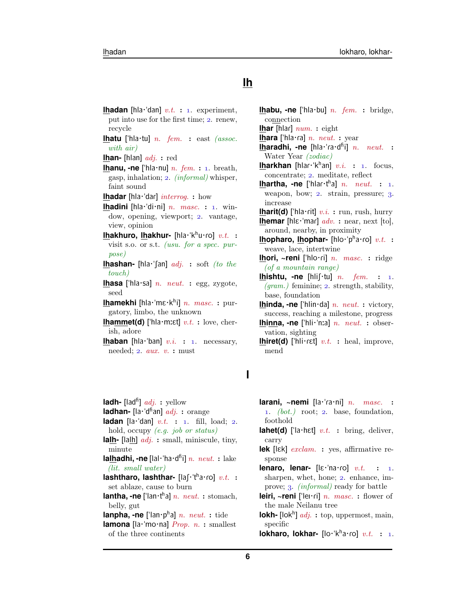# **lh**

**lhadan** [hla·'dan]  $v.t.$  : 1. experiment, put into use for the first time; 2. renew, recycle

**lhatu** ['hla·tu]  $n.$  fem. : east (assoc. with air)

**lhan-** [hlan] adj. : red

**lhanu, -ne** ['hla·nu]  $n.$   $fem.$  : 1. breath, gasp, inhalation;  $2.$  *(informal)* whisper, faint sound

**lhadar** [hla·'dar] *interrog.* : how

**lhadini** [hla·'di·ni]  $n.$   $masc.$  : 1. window, opening, viewport; 2. vantage, view, opinion

**lhakhuro, lhakhur-** [hla·'khu·ro] v.t. : visit s.o. or s.t. (usu. for a spec. purpose)

**lhashan-** [hla·'[an] *adj.* : soft *(to the* touch)

**lhasa** ["hla·sa] n. neut. : egg, zygote, seed

lhamekhi [hla∙ˈmε∙kʰi] *n. masc.* : purgatory, limbo, the unknown

**lhammet(d)** ['hla·m: $\epsilon t$ ]  $v.t.$  : love, cherish, adore

**lhaban** [hla·'ban]  $v.i.$  : 1. necessary, needed;  $2. \, \textit{aux. v. :}$  must

**lhabu, -ne** ['hla·bu] *n. fem.* : bridge, connection **lhar** [hlar]  $num.$  : eight **lhara** ['hla·ra]  $n.$   $neut.$  : year Iharadhi, -ne [hla·'ra·d<sup>ñ</sup>i] n. neut. : Water Year (zodiac) **lharkhan** [hlar·'k<sup>h</sup>an] v.i. : 1. focus, concentrate; 2. meditate, reflect **lhartha, -ne** ['hlar·t<sup>h</sup>a] n. neut. : 1. weapon, bow; 2. strain, pressure; 3. increase **lharit(d)** ['hla·rit]  $v.i.$  : run, rush, hurry **lhemar** [h| $\epsilon$ ·'mar]  $adv.$  : near, next [to], around, nearby, in proximity **lhopharo, lhophar-** [hlo·ˈpʰa·ɾo]  $v.t.$  **:** weave, lace, intertwine **lhori, ~reni** ['hlo·ri] *n. masc.* : ridge (of a mountain range) **lhishtu, -ne** [hlif·tu]  $n.$   $fem.$  : 1.  $(qram.)$  feminine; 2. strength, stability, base, foundation **lhinda, -ne** ['hlin·da] *n. neut.* : victory, success, reaching a milestone, progress **lhinna, -ne** ['hli·'nːa] *n. neut.* : observation, sighting

**lhiret(d)** ['hli $\cdot$ r $\epsilon t$ ]  $v.t.$  : heal, improve, mend

### **l**

**ladh-** [lad<sup>fi</sup>]  $adj.$  : yellow **ladhan-** [la·'d<sup>h\*</sup>an]  $adj.$  : orange **ladan** [la·'dan]  $v.t.$  :  $1.$  fill, load;  $2.$ hold, occupy (e.g. job or status) **lalh-** [lalh]  $adi.$  : small, miniscule, tiny, minute **la<u>lh</u>adhi, -ne** [lal·ˈha·d<sup>fi</sup>i] n. neut. : lake (lit. small water) lashtharo, lashthar- [laʃ·ˈtʰa·ro] v.t. : set ablaze, cause to burn **lantha, -ne** ['lan·t<sup>h</sup>a] n. neut. : stomach, belly, gut **lanpha, -ne** ['lan·p<sup>h</sup>a] n. neut.: tide **lamona** [la·'mo·na] *Prop. n.* : smallest of the three continents

**larani, ~nemi** [la·'ra·ni] n. masc. : 1.  $(bot.)$  root; 2. base, foundation, foothold

- **lahet(d)** ['la·hɛt]  $v.t.$  : bring, deliver, carry
- **lek** [lEk] exclam. : yes, affirmative response
- **lenaro, lenar-**  $[\& \text{`na·ro}]$   $v.t.$  : 1. sharpen, whet, hone;  $2$ . enhance, improve; 3. *(informal)* ready for battle
- **leiri, ~reni** ['lei·ri] *n. masc.* : flower of the male Neilanu tree
- **lokh-** [lok<sup>h</sup>] *adj.* : top, uppermost, main, specific

**lokharo, lokhar-** [lo·'kha·ro] v.t. : 1.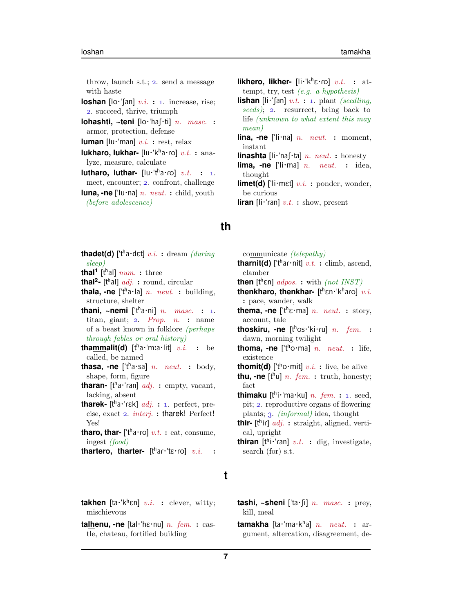throw, launch s.t.;  $2.$  send a message with haste

- **loshan**  $\left[ \left[ \circ \right] \circ \left[ \circ \right] \circ i$ . : 1. increase, rise; . succeed, thrive, triumph
- **lohashti, ~teni** [lo·'ha[·ti] n. masc. : armor, protection, defense

**luman**  $\left[ \text{lu·'man} \right]$  *v.i.* : rest, relax

- **lukharo, lukhar-** [lu·'kha·ro] v.t.: analyze, measure, calculate
- **lutharo, luthar-**  $[\text{lu·t}^{\text{h}}\text{a·ro}]$  v.t. : 1. meet, encounter; 2. confront, challenge
- **luna, -ne** ['lu·na] *n. neut.* : child, youth (before adolescence)
- **thadet(d)** ['t<sup>h</sup>a·dɛt] v.i.: dream (during sleep)
- **thal<sup>1</sup>** [t<sup>h</sup>al]  $num.$  : three
- **thal<sup>2</sup>** [t<sup>h</sup>al] *adj.* : round, circular
- **thala, -ne** ['t<sup>h</sup>a·la] *n. neut.* : building, structure, shelter
- **thani,**  $\sim$ **nemi** ['tʰa·ni] *n. masc.* : 1. titan, giant;  $2.$  *Prop.*  $n.$  : name of a beast known in folklore (perhaps through fables or oral history)
- **tha<u>mm</u>alit(d)** [tʰa·ˈmːa·lit] v.i. : be called, be named
- **thasa, -ne** [' $t^h$ a·sa] *n. neut.* : body, shape, form, figure
- **tharan-** [t<sup>h</sup>a·'ran] *adj.* : empty, vacant, lacking, absent
- tharek- [t<sup>h</sup>a·'rɛk] *adj.* : 1. perfect, precise, exact  $2.$  interj.: tharek! Perfect! Yes!
- **tharo, thar-** ['t<sup>h</sup>a·ro]  $v.t.$  : eat, consume, ingest (food)

thartero, tharter- [thar·'tɛ·ro] v.i. :

- **likhero, likher-** [li·'k<sup>h</sup> $\varepsilon$ ·ro] v.t. : attempt, try, test (e.g. a hypothesis)
- **lishan** [li·'[an]  $v.t.$  : 1. plant *(seedling,* seeds); 2. resurrect, bring back to life (unknown to what extent this may mean)
- **lina, -ne** ['li·na] *n. neut.* : moment, instant
- **linashta** [li·'naf·ta] *n. neut.* : honesty
- **lima, -ne** ['li·ma] *n. neut.* : idea, thought
- **limet(d)** ['li·mɛt]  $v.i.$  : ponder, wonder, be curious
- **liran** [li·'ran]  $v.t.$  : show, present
- communicate (telepathy)
- **tharnit(d)** ['t<sup>h</sup>ar·nit]  $v.t.$  : climb, ascend, clamber
- **then**  $[t^h$ ɛn]  $adpos.$  : with  $(not INST)$
- thenkharo, thenkhar- [then·lkharo] v.i. : pace, wander, walk
- **thema, -ne** ['t<sup>h</sup> $\varepsilon$ ·ma] *n. neut.* : story, account, tale
- **thoskiru, -ne** [tʰos·ˈki·ɾu] *n. fem.* : dawn, morning twilight
- **thoma, -ne** ['t<sup>h</sup>o·ma] *n. neut.* : life, existence
- **thomit(d)** ['t<sup>h</sup>o·mit]  $v.i.$  : live, be alive
- **thu, -ne**  $[t^h u]$  *n. fem.* : truth, honesty; fact
- thimaku [t<sup>h</sup>i·'ma·ku] *n. fem.* : 1. seed, pit; 2. reproductive organs of flowering plants;  $\alpha$ . *(informal)* idea, thought
- **thir-** [t<sup>h</sup>ir] *adj.*: straight, aligned, vertical, upright
- **thiran** [t<sup>h</sup>i·'ran] v.t. : dig, investigate, search (for) s.t.

## **t**

**th**

- **takhen**  $[\text{ta·k}^h \in \mathbb{R}]$  v.i. : clever, witty; mischievous
- **talhenu, -ne** [tal·'hɛ·nu]  $n.$   $fem.$  : castle, chateau, fortified building

**tashi, ~sheni** ['ta·(i]  $n.$  masc. : prey, kill, meal

**tamakha** [ta·ˈma·kʰa] *n. neut.* : argument, altercation, disagreement, de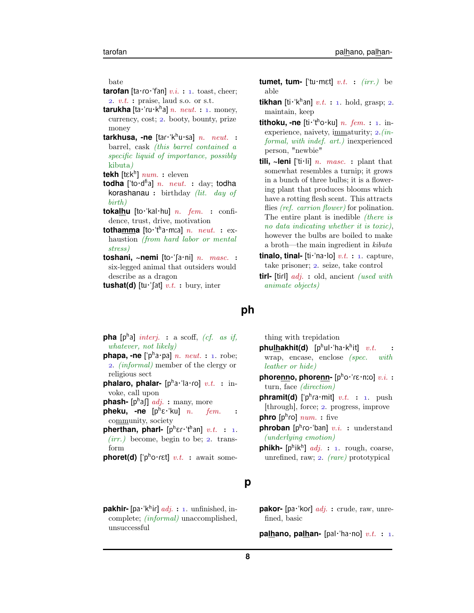bate

- **tarofan** [ta·ro·'fan]  $v.i. : 1.$  toast, cheer; 2.  $v.t.$ : praise, laud s.o. or s.t.
- tarukha [ta·'ru·k<sup>h</sup>a] *n. neut.* : 1. money, currency, cost; 2. booty, bounty, prize money
- **tarkhusa, -ne** [tar·'k<sup>h</sup>u·sa] n. neut. : barrel, cask (this barrel contained a specific liquid of importance, possibly kibuta)
- **tekh** [tEk<sup>h</sup> ] num. : eleven
- todha ['to·d<sup>fi</sup>a] *n. neut.* : day; todha korashanau : birthday (lit. day of birth)
- **tokalhu** [to·'kal·hu]  $n.$   $fem.$   $:$   $confi$ dence, trust, drive, motivation
- **totha<u>mm</u>a** [to·'tʰa·mːa] *n. neut.* : exhaustion (from hard labor or mental stress)
- **toshani, ~nemi**  $[to$  ' $[a \cdot ni]$  n. masc. : six-legged animal that outsiders would describe as a dragon

**tushat(d)** [tu<sup> $\cdot$ </sup>[at]  $v.t.$  : bury, inter

- **pha**  $[p^h a]$  *interj.* : a scoff, *(cf. as if,* whatever, not likely)
- $phapa, -ne$   $['p^ha \cdot pa]^n$ .  $neut. :$  1. robe; . (informal) member of the clergy or religious sect
- phalaro, phalar- [pha·'la·ro] v.t. : invoke, call upon
- phash- [p<sup>h</sup>af] *adj.* : many, more
- **pheku, -ne** [pʰɛ·ˈku] *n. fem.* : community, society
- pherthan, pharl- [ph<sub>Ef</sub>·'than] v.t. : 1.  $(irr.)$  become, begin to be; 2. transform
- **phoret(d)** [' $p^h$ o·rɛt]  $v.t.$  : await some-

#### **p**

**ph**

pakhir- [pa·'k<sup>h</sup>iɾ] *adj.* : 1. unfinished, incomplete; (informal) unaccomplished, unsuccessful

- **tumet, tum-** ['tu $\cdot$ m $\epsilon$ t]  $v.t.$  :  $(irr.)$  be able
- **tikhan** [ti·'k<sup>h</sup>an]  $v.t.$  : 1. hold, grasp; 2. maintain, keep
- **tithoku, -ne** [ti·'tho·ku] *n. fem.* : 1. inexperience, naivety, immaturity;  $2.(in-)$ formal, with indef. art.) inexperienced person, "newbie"
- **tili,**  $\sim$ **leni** ['ti·li] *n. masc.* : plant that somewhat resembles a turnip; it grows in a bunch of three bulbs; it is a flowering plant that produces blooms which have a rotting flesh scent. This attracts flies *(ref. carrion flower)* for polination. The entire plant is inedible (there is no data indicating whether it is toxic), however the bulbs are boiled to make a broth—the main ingredient in kibuta
- **tinalo, tinal-** [ti·'na·lo]  $v.t. : 1$ . capture, take prisoner; 2. seize, take control
- **tirl-** [tirl] *adj.* : old, ancient *(used with*) animate objects)
	- thing with trepidation
- phu<u>lh</u>akhit(d) [pʰul·ˈha·kʰit]  $v.t.$  **:** wrap, encase, enclose (spec. with leather or hide)
- **phore<u>nn</u>o, phore<u>nn</u>- [pʰo・ˈɾɛ・nːo]**  $v.i.$  **:** turn, face (direction)
- **phramit(d)** [' $p^h$ ra·mit] v.t. : 1. push [through], force; 2. progress, improve **phro** [ $p^h$ ro]  $num.$  : five
- **phroban** [p<sup>h</sup>ro·'ban] v.i. : understand (underlying emotion)
- **phikh-**  $[p^h$ ik $^h$ ]  $adj. : 1.$  rough, coarse, unrefined, raw;  $2.$  (rare) prototypical
- **pakor-** [pa·'kor] *adj.* : crude, raw, unrefined, basic

**palhano, palhan-** [pal·'ha·no]  $v.t.$  : 1.

**8**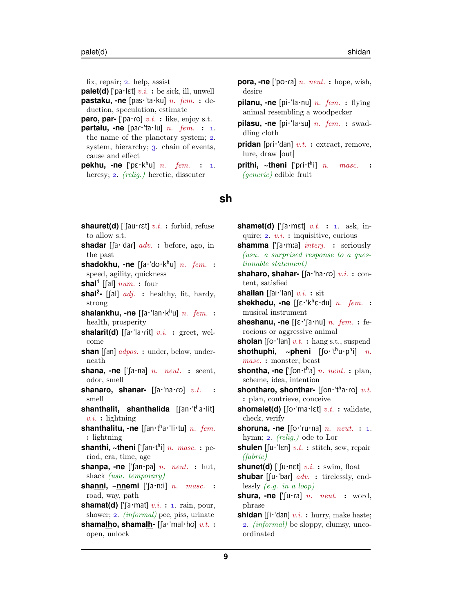fix, repair;  $2.$  help, assist

**palet(d)** [' $pa$ ·lɛt]  $v.i.$  : be sick, ill, unwell **pastaku, -ne** [pas·"ta·ku] n. fem. : de-

duction, speculation, estimate **paro, par-** ['pa $\cdot$ ro]  $v.t.$  : like, enjoy s.t.

**partalu, -ne** [par·'ta·lu]  $n.$  fem. :  $1.$ the name of the planetary system; 2. system, hierarchy;  $\alpha$ , chain of events, cause and effect

**pekhu, -ne** ['pɛ·kʰu] *n. fem.* : 1. heresy; 2. *(relig.)* heretic, dissenter

- **pora, -ne** ['po·ra] *n. neut.* : hope, wish, desire
- **pilanu, -ne** [pi·'la·nu] *n. fem.* : flying animal resembling a woodpecker
- **pilasu, -ne** [pi·"la·su] n. fem. : swaddling cloth
- **pridan** [pri·'dan]  $v.t.$  : extract, remove, lure, draw [out]
- **prithi, ~theni** [ˈpɾi<mark>·t</mark>ʰ masc. (generic) edible fruit

#### **sh**

- **shauret(d)** [' $\lceil \text{au} \cdot \text{ret} \rceil v.t.$  : forbid, refuse to allow s.t.
- **shadar**  $\left[ \left[ a \cdot \text{dar} \right] \right]$  *adv.* : before, ago, in the past
- shadokhu, -ne [ʃa·'do·k<sup>h</sup>u] n. fem. : speed, agility, quickness
- **shal<sup>1</sup>** [fal]  $num.$  : four
- **shal<sup>2</sup>** [fal] *adj.* : healthy, fit, hardy, strong
- shalankhu, -ne [fa·'lan·k<sup>h</sup>u] n. fem. : health, prosperity
- **shalarit(d)** [ $\int a \cdot \text{l} a \cdot \text{rit}$ ]  $v.i.$  : greet, welcome
- **shan** [[an]  $adpos$ . : under, below, underneath
- **shana, -ne** [' $\lceil a \cdot na \rceil$  *n. neut.* : scent, odor, smell
- **shanaro, shanar-** [[a·'na·ro] v.t. smell
- shanthalit, shanthalida [fan·'tha·lit]  $v.i.$ : lightning
- shanthalitu, -ne [fan·tha·'li·tu] n. fem. : lightning
- shanthi, ~theni ['fan·t<sup>h</sup>i] n. masc.: period, era, time, age
- **shanpa, -ne** [' $\lceil \text{an-pa} \rceil n$ . neut. : hut, shack (usu. temporary)
- **shanni, ~nnemi**  $[\text{a}\cdot\text{ni}]$  *n. masc.* : road, way, path
- **shamat(d)** [' $\int a \cdot \text{mat} \cdot y \cdot a$ . : 1. rain, pour, shower; 2. (informal) pee, piss, urinate
- **shamalho, shamalh-** [fa·'mal·ho] v.t. : open, unlock
- **shamet(d)** [' $\lceil a \cdot met \rceil$  v.t. : 1. ask, inquire;  $2. v.i.$ : inquisitive, curious
- **shamma** [' $[a \cdot m:a]$  *interj.* : seriously (usu. a surprised response to a questionable statement)
- **shaharo, shahar-** [[a·'ha·ro] v.i. : content, satisfied
- **shailan** [ $\lceil \text{au'} \rceil$  an]  $v.i.$  : sit
- **shekhedu, -ne**  $\left[\left[\varepsilon^{H_k}\right]\varepsilon^{H_k}\right]$  n. fem. : musical instrument
- **sheshanu, -ne**  $\left[\left[\varepsilon^{\text{+}}\right]\left[a\cdot \text{nu}\right]\right]$  *n. fem.* : ferocious or aggressive animal
- **sholan** [ $\left[\text{o'}\text{'lan}\right]$   $v.t.$  : hang s.t., suspend shothuphi, ~pheni [ʃo·ˈt<sup>h</sup>u·p<sup>h</sup>  $n$ . masc. : monster, beast
- **shontha, -ne** ['fon·t<sup>h</sup>a] n. neut. : plan, scheme, idea, intention
- shontharo, shonthar- [ʃon·ˈt<sup>h</sup>a·ɾo] v.t. : plan, contrieve, conceive
- **shomalet(d)**  $\left[\int \right]$  o<sup>t</sup> matrix  $v.t.$  : validate, check, verify
- **shoruna, -ne**  $\left[\left[\circ\right]^{\cdot}\right]$  ruinal n. neut. : 1. hymn; 2.  $(relig.)$  ode to Lor
- **shulen**  $\left[\left(u\cdot\right)\left(\ln\right)v.t.\right]$  stitch, sew, repair (fabric)

**shunet(d)** [' $\lceil u \cdot n \epsilon \rceil v.i.$  : swim, float

- **shubar** [fu·'bar] adv. : tirelessly, endlessly  $(e.g. in a loop)$
- **shura, -ne** ['[u·ra]  $n.$   $neut.$  : word, phrase
- **shidan** [ $\left[ \text{if 'dan} \right]$   $v.i.$  : hurry, make haste; . (informal) be sloppy, clumsy, uncoordinated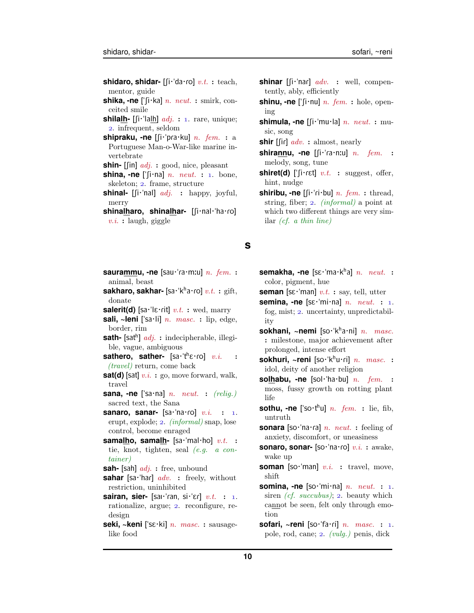- **shidaro, shidar-**  $\left[ \left[ \mathbf{i} \cdot \mathbf{d} \mathbf{d} \cdot \mathbf{0} \right] v.t. : \text{teach}, \right]$ mentor, guide
- **shika, -ne** ['[i·ka] *n. neut.* : smirk, conceited smile
- **shilalh-**  $\left[\left[\mathbf{i}\cdot\mathbf{k}\right]\right]$  *adj.* : 1. rare, unique; . infrequent, seldom
- **shipraku, -ne** [[i·'pra·ku] *n. fem.* : a Portuguese Man-o-War-like marine invertebrate
- **shin-** [[in]  $adj.$  : good, nice, pleasant
- **shina, -ne** [' $\int$ i·na] *n. neut.* : 1. bone, skeleton; 2. frame, structure
- **shinal-** [fi·'nal]  $adj.$  : happy, joyful, merry
- shinalharo, shinalhar- [fi·nal·'ha·ro]  $v.i.$ : laugh, giggle
- **saurammu, -ne** [sau·'ra·m:u] *n. fem.* : animal, beast
- **sakharo, sakhar-** [sa・ˈkʰa・ɾo]  $v.t.$   $:$   $\text{gift},$ donate
- **salerit(d)** [sa·'lɛ·rit]  $v.t.$  : wed, marry
- **sali, ~leni** ["sa·li] n. masc. : lip, edge, border, rim
- **sath-** [sat<sup>h</sup>] *adj.* : indecipherable, illegible, vague, ambiguous
- **sathero, sather-**  $[sa \cdot 't^h \varepsilon \cdot r \cdot o]$  v.i. (travel) return, come back
- **sat(d)** [sat]  $v.i.$  : go, move forward, walk, travel
- **sana, -ne** ['sa·na] *n. neut.* : (relig.) sacred text, the Sana
- **sanaro, sanar-**  $[sa \cdot 'na \cdot ro]$  v.i. : 1. erupt, explode; 2. *(informal)* snap, lose control, become enraged
- **samalho, samalh-** [sa·'mal·ho] v.t. : tie, knot, tighten, seal (e.g. a container)
- **sah-** [sah] adj. : free, unbound
- **sahar** [sa·'har]  $adv.$  : freely, without restriction, uninhibited
- **sairan, sier-** [sai<sup>-'</sup>ran, si<sup>-'</sup>Er]  $v.t.$  : 1. rationalize, argue; 2. reconfigure, redesign
- **seki, ~keni** ["sE·ki] n. masc. : sausagelike food
- **shinar**  $\left[\left[i\right]^{T}$  and  $\left[q\right]^{T}$  and  $\left[q\right]^{T}$  well, compentently, ably, efficiently
- **shinu, -ne** [' $\lceil \cdot \text{nu} \rceil$  *n. fem.* : hole, opening
- **shimula, -ne**  $\left[ \left[ \text{i·} \text{mu·} \text{la} \right] n$ . neut. : music, song

**shir**  $\left[\begin{matrix} \text{if} \end{matrix} a \right] w$ . : almost, nearly

- **shirannu, -ne** [[i·'ra·nːu] *n. fem.* : melody, song, tune
- **shiret(d)** [' $[i \cdot \text{ref}]$  v.t. : suggest, offer, hint, nudge
- **shiribu, -ne**  $\left[\left[i\cdot\text{right}\right]$  *n. fem.* : thread, string, fiber; 2. *(informal)* a point at which two different things are very similar (cf. a thin line)

#### **s**

- **semakha, -ne** [sɛ·ˈma·kʰa] *n. neut.* : color, pigment, hue
- **seman** [s $\varepsilon$ ·'man]  $v.t.$  : say, tell, utter
- **semina, -ne**  $[$ s $\varepsilon$ · $'$ mi·na] *n. neut.* : 1. fog, mist;  $2$ . uncertainty, unpredictability
- sokhani, ~nemi [so·'k<sup>h</sup>a·ni] n. masc. : milestone, major achievement after prolonged, intense effort
- **sokhuri, ~reni** [so·'k<sup>h</sup>u·ri] n. masc. : idol, deity of another religion
- **solhabu, -ne** [sol·'ha·bu] *n. fem.* : moss, fussy growth on rotting plant life
- **sothu, -ne** ['so·t<sup>h</sup>u] *n. fem.* : lie, fib, untruth
- **sonara** [so·'na·ra] n. neut. : feeling of anxiety, discomfort, or uneasiness
- **sonaro, sonar-** [so·'na·ro] v.i. : awake, wake up
- **soman** [so·'man] v.i. : travel, move, shift
- **somina, -ne**  $\left[$ so·'mi·na] *n. neut.* : 1. siren  $(cf. \; succubus)$ ; 2. beauty which cannot be seen, felt only through emotion
- **sofari, ~reni** [so·'fa·ri] n. masc. : 1. pole, rod, cane; 2. (vulg.) penis, dick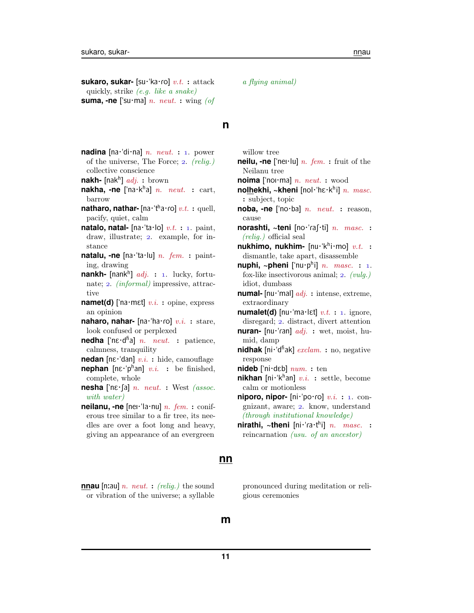**sukaro, sukar-** [su·'ka·ro] v.t. : attack quickly, strike (e.g. like a snake) **suma, -ne** ['su·ma] *n. neut.* : wing (of

#### **n**

- **nadina**  $[na \cdot d \cdot n]$  *n. neut.* : 1. power of the universe, The Force;  $2.$  (relig.) collective conscience
- nakh- [nak<sup>h</sup>] *adj.* : brown
- nakha, -ne ['na·k<sup>h</sup>a] n. neut. : cart, barrow
- natharo, nathar- [na·<sup>·</sup>tʰa·ro] v.t.: quell, pacify, quiet, calm
- **natalo, natal-**  $[na \cdot 'ta \cdot 10] v.t. : 1. paint,$ draw, illustrate; 2. example, for instance
- natalu, -ne [na·'ta·lu] *n. fem.* : painting, drawing
- **nankh-** [nank<sup>h</sup>] *adj.* : 1. lucky, fortunate;  $2.$  *(informal)* impressive, attractive
- **namet(d)** ['na·mɛt]  $v.i.$  : opine, express an opinion
- **naharo, nahar-** [na·'ha·ro] v.i. : stare, look confused or perplexed
- **nedha** [' $n\epsilon$ ·d<sup>fi</sup>a] *n. neut.* : patience, calmness, tranquility
- **nedan**  $[\text{ne--}$ "dan]  $v.i.$  : hide, camouflage
- **nephan**  $[\text{ne} \cdot \text{p}^{\text{h}}]$  v.i. : be finished, complete, whole
- **nesha** [' $n \in \{a\}$  *n. neut.* : West *(assoc.* with water)
- **neilanu, -ne** [nei·'la·nu]  $n.$   $fem.$  : coniferous tree similar to a fir tree, its needles are over a foot long and heavy, giving an appearance of an evergreen
- **nnau** [n:au] *n. neut.* : *(relig.)* the sound or vibration of the universe; a syllable

a flying animal)

- **neilu, -ne** ['nei·lu] *n. fem.* : fruit of the Neilanu tree
- **noima** ['noi·ma] *n. neut.* : wood
- nolhekhi, ~kheni [nol·'hɛ·k<sup>h</sup>i] *n. masc.* : subject, topic
- **noba, -ne** ["no·ba] n. neut. : reason, cause
- **norashti, ~teni** [no·'raf·ti] *n. masc.* :  $(relig.)$  official seal
- nukhimo, nukhim- [nu·ˈkʰi·mo] v.t. : dismantle, take apart, disassemble
- **nuphi, ~pheni** ['nu·p<sup>h</sup>i] n. masc. : 1. fox-like insectivorous animal;  $2.$  (vulg.) idiot, dumbass
- **numal-** [nu·"mal] adj. : intense, extreme, extraordinary
- **numalet(d)**  $\lceil \text{nu} \cdot \text{ma} \cdot \text{let} \rceil v.t. : 1$ . ignore, disregard; 2. distract, divert attention
- **nuran-** [nu·'ran] *adj.* : wet, moist, humid, damp
- nidhak [ni·<sup>'</sup>d<sup>fi</sup>ak] *exclam.* : no, negative response
- **nideb** ["ni·dEb] num. : ten
- nikhan [ni·'k<sup>h</sup>an] v.i. : settle, become calm or motionless
- **niporo, nipor-**  $[ni$ · po·ro]  $v.i.$  : 1. congnizant, aware; 2. know, understand (through institutional knowledge)
- nirathi, ~theni [ni·'ra·t<sup>h</sup>i] n. masc. : reincarnation (usu. of an ancestor)

#### **nn**

pronounced during meditation or religious ceremonies

#### **m**

willow tree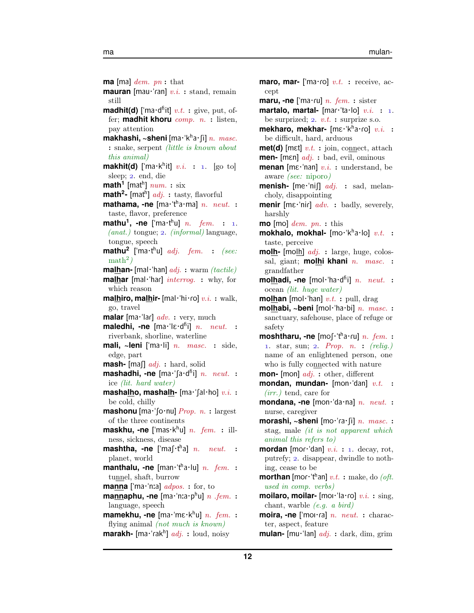**ma** [ma]  $dem.$   $pn:$  that **mauran** [mau·'ran]  $v.i.$  : stand, remain still **madhit(d)** ['ma·d<sup>fi</sup>it] v.t.: give, put, offer; **madhit khoru** comp. n. : listen, pay attention **makhashi, ~sheni** [ma·ˈkʰa·ʃi] *n. masc.* : snake, serpent (little is known about this animal) **makhit(d)** ['ma $\cdot$ k<sup>h</sup>it] v.i. : 1. [go to] sleep; 2. end, die  $\mathsf{math}^{\mathsf{1}}$  [mat $^{\mathsf{h}}$ ]  $\mathit{num.}: \, \text{six}$ **math<sup>2</sup> -** [mat<sup>h</sup> ] adj. : tasty, flavorful mathama, -ne [ma·'tha·ma] n. neut. : taste, flavor, preference  $\text{math}$ **mathu<sup>1</sup>**,  $\text{-ne}$   $[\text{ma}\cdot\text{t}^h\text{u}]$   $n.$   $fem.$   $\text{:}$  1.  $(anat.)$  tongue; 2.  $(informal)$  language, tongue, speech **mathu<sup>2</sup>** ['ma·t<sup>h</sup>u] *adj.* fem. : (see:  $\mathrm{math}^2$ ) **malhan-** [mal·"han] adj. : warm (tactile) **malhar** [mal·'har] *interrog.* : why, for which reason **malhiro, malhir-**  $\lceil \text{mal·'hi·ro} \rceil$   $v.i.$  : walk, go, travel **malar** [ma·'lar] *adv.* : very, much maledhi, -ne [ma·'lɛ·d<sup>ɦ</sup>i] n. neut. : riverbank, shorline, waterline **mali, ~leni** ["ma·li] n. masc. : side, edge, part **mash-** [maf]  $adj.$  : hard, solid mashadhi, -ne [ma·'fa·d<sup>fi</sup>i] n. neut. : ice (lit. hard water) **mashalho, mashalh-** [ma·'[al·ho] v.i. : be cold, chilly **mashonu**  $[\text{ma} \cdot \text{'\text{fo}} \cdot \text{nu}]$  *Prop. n.* : largest of the three continents **maskhu, -ne** ['mas·k<sup>h</sup>u] *n. fem.* : illness, sickness, disease mashtha, -ne ['maʃ·t<sup>h</sup>a] *n. neut.* : planet, world manthalu, -ne [man·'tha·lu] n. fem. : tunnel, shaft, burrow **manna** ['ma·'nːa]  $adpos$ : for, to mannaphu, -ne [ma·ˈnɪa·p<sup>h</sup>u] n .fem. : language, speech mamekhu, -ne [ma·'mɛ·k<sup>h</sup>u] n. fem. : flying animal (not much is known) marakh- [ma·'rak<sup>h</sup>] adj. : loud, noisy

**maro, mar-** ['ma $\cdot$ ro]  $v.t.$  : receive, accept **maru, -ne** ['ma·ru] n. fem. : sister **martalo, martal-**  $\text{[mar'ta·lo]} v.i. : 1.$ be surprized;  $2. v.t.$  : surprize s.o. mekharo, mekhar- [mɛ·ˈkʰa·ɾo] v.i. : be difficult, hard, arduous **met(d)** [m $\epsilon t$ ]  $v.t.$  : join, connect, attach **men-** [mEn] adj. : bad, evil, ominous **menan** [mε·'nan] *v.i.* : understand, be aware (see: niporo) **menish-**  $\lceil \text{me~'ni} \rceil \rceil$  *adj.* : sad, melancholy, disappointing **menir** [mɛ·'nir] *adv.* : badly, severely, harshly **mo** [mo]  $dem.$   $pn.$  **:** this mokhalo, mokhal- [mo·'kha·lo] v.t. : taste, perceive **molh-** [molh] adj. : large, huge, colossal, giant; **molhi khani** n. masc. : grandfather molhadi, -ne [mol·'ha·d<sup>fi</sup>i] n. neut. : ocean (lit. huge water) **molhan** [mol·'han]  $v.t.$  : pull, drag **molhabi, ~beni** [mol·"ha·bi] n. masc. : sanctuary, safehouse, place of refuge or safety moshtharu, -ne [moʃ·'tha·ru] n. fem. : 1. star, sun; 2. Prop. n. :  $\text{(relig.)}$ name of an enlightened person, one who is fully connected with nature **mon-** [mon] adj. : other, different **mondan, mundan-** [mon·'dan] v.t. : (irr.) tend, care for **mondana, -ne** [mon·"da·na] n. neut. : nurse, caregiver morashi, ~sheni [mo·'ra·fi] n. masc. : stag, male (it is not apparent which animal this refers to) **mordan** [mor·'dan]  $v.i.$  : 1. decay, rot, putrefy; 2. disappear, dwindle to nothing, cease to be  $\text{morihan}$  [mor·'t<sup>h</sup>an]  $v.t.$  : make, do *(oft.* used in comp. verbs) **moilaro, moilar-** [moi·'la·ro]  $v.i.$  : sing, chant, warble (e.g. a bird) **moira, -ne** ['moi·ra] *n. neut.* : character, aspect, feature

**mulan-** [mu·"lan] adj. : dark, dim, grim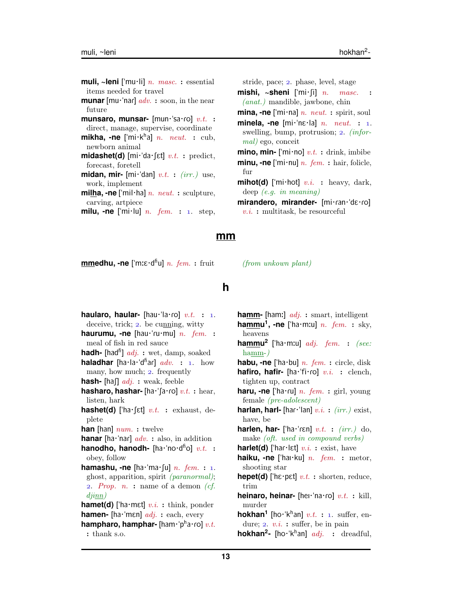**muli, ~leni** ["mu·li] n. masc. : essential items needed for travel **munar** [mu·'nar]  $adv.$ : soon, in the near future **munsaro, munsar-** [mun·'sa·ro] v.t. : direct, manage, supervise, coordinate **mikha, -ne** ['mi·k<sup>h</sup>a] *n. neut.* : cub, newborn animal **midashet(d)** [mi<sup> $\cdot$ </sup>da $\cdot$ [ɛt]  $v.t.$  : predict, forecast, foretell **midan, mir-** [mi<sup> $\cdot$ </sup>dan]  $v.t.$  : (irr.) use, work, implement **milha, -ne** ["mil·ha] n. neut. : sculpture, carving, artpiece

**milu, -ne** ['mi·lu]  $n.$   $fem.$  : 1. step,

stride, pace; 2. phase, level, stage

**mishi,**  $\sim$ **sheni** ['mi $\cdot$ [i] *n. masc.* (anat.) mandible, jawbone, chin

- **mina, -ne** ['mi·na]  $n$ .  $neut$ . : spirit, soul
- **minela, -ne**  $[\text{mi}\cdot\text{nc}\cdot\text{la}]$  n. neut. : 1. swelling, bump, protrusion;  $2.$  (informal) ego, conceit
- **mino, min-** ['mi·no]  $v.t.$  : drink, imbibe **minu, -ne** ['mi·nu] *n. fem.* : hair, folicle, fur
- **mihot(d)** ['mi·hot]  $v.i.$  : heavy, dark, deep (e.g. in meaning)
- mirandero, mirander- [mi·ran·'dɛ·ro]  $v.i.$ : multitask, be resourceful

#### **mm**

**mmedhu, -ne** ['mːε·d<sup>n</sup>u] *n. fem.* : fruit

 $(from$  unkown plant)

## **h**

- **haularo, haular-** [hau·'la·ro]  $v.t.$  : 1. deceive, trick;  $2.$  be cunning, witty **haurumu, -ne** [hau·'ru·mu] n. fem. : meal of fish in red sauce **hadh-** [had<sup>fi</sup>] *adj.* : wet, damp, soaked **haladhar** [ha·la·'d<sup>h</sup>ar]  $adv.$  : 1. how many, how much;  $2$ . frequently **hash-** [ha]  $adj. :$  weak, feeble hasharo, hashar- [ha·'fa·ro] v.t. : hear, listen, hark **hashet(d)** ['ha $\cdot$ [ɛt]  $v.t.$  : exhaust, deplete **han** [han]  $num.$  : twelve **hanar** [ha·'nar]  $adv.$  : also, in addition hanodho, hanodh- [ha·'no·d<sup>fi</sup>o] v.t. : obey, follow **hamashu, -ne** [ha·'ma·[u]  $n.$  fem. : 1. ghost, apparition, spirit (paranormal); 2. Prop.  $n.$  : name of a demon  $(cf.$ djinn) **hamet(d)** ['ha·mɛt]  $v.i.$  : think, ponder **hamen-** [ha·'mɛn] *adj.* : each, every hampharo, hamphar- [ham·'pha·ro] v.t. : thank s.o.
- **hamm-** [ham:] adj. : smart, intelligent **hammu<sup>1</sup>, -ne** ['ha·mːu] *n. fem.* : sky, heavens
- **hammu 2** ["ha·m:u] adj. fem. : (see: hamm-)
- **habu, -ne** ["ha·bu] n. fem. : circle, disk **hafiro, hafir-** [ha·'fi·ro]  $v.i.$  : clench, tighten up, contract
- haru, -ne ['ha·ru] n. fem. : girl, young female (pre-adolescent)
- **harlan, harl-** [har·'lan]  $v.i.$  : (irr.) exist, have, be
- harlen, har- ['ha·'rɛn] v.t. : (irr.) do, make (oft. used in compound verbs)
- **harlet(d)** ['har $\cdot$ lɛt]  $v.i.$  : exist, have
- **haiku, -ne** ['hai·ku] *n. fem.* : metor, shooting star
- **hepet(d)** ['hɛ·pɛt]  $v.t.$  : shorten, reduce, trim
- **heinaro, heinar-** [hei·'na·ro] v.t. : kill, murder
- **hokhan<sup>1</sup>** [ho·'k<sup>h</sup>an]  $v.t.$  : 1. suffer, endure;  $2. v.i.$ : suffer, be in pain

**hokhan<sup>2</sup>** [ho·'k<sup>h</sup>an] *adj.* : dreadful,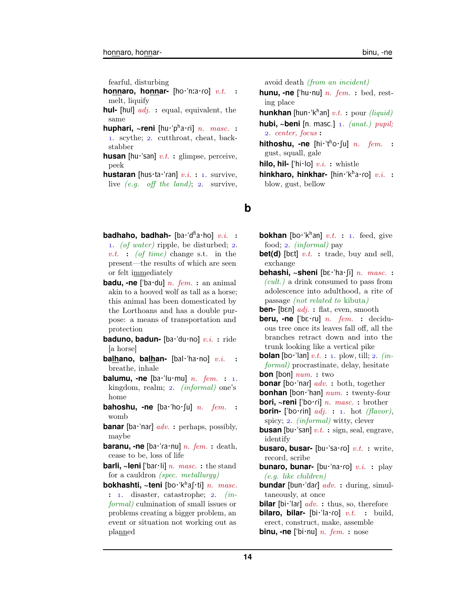fearful, disturbing

**honnaro, honnar-** [ho·'nːa·ro] v.t. : melt, liquify

- **hul-** [hul] adj. : equal, equivalent, the same
- **huphari, ~reni** [hu·'pʰa·ɾi] *n. masc.* : 1. scythe; 2. cutthroat, cheat, backstabber
- **husan** [hu·'san]  $v.t.$  : glimpse, perceive, peek
- **hustaran** [hus·ta·'ran]  $v.i. : 1$ . survive, live  $(e,q.$  off the land); 2. survive,
- **badhaho, badhah-** [ba·'d<sup>fi</sup>a·ho] v.i. : 1. (of water) ripple, be disturbed;  $2$ . v.t. : (of time) change s.t. in the present—the results of which are seen or felt immediately
- **badu, -ne** ['ba·du] *n. fem.* : an animal akin to a hooved wolf as tall as a horse; this animal has been domesticated by the Lorthoans and has a double purpose: a means of transportation and protection
- **baduno, badun-** [ba·'du·no] v.i.: ride [a horse]
- **balhano, balhan-** [bal·'ha·no] v.i. : breathe, inhale
- **balumu.** -ne [ba·'lu·mu]  $n.$   $fem.$  : 1. kingdom, realm;  $2.$  (informal) one's home
- **bahoshu, -ne** [ba·'ho·fu] *n. fem.* : womb
- **banar** [ba·'nar]  $adv.$  : perhaps, possibly, maybe
- **baranu, -ne** [ba·'ra·nu]  $n.$  fem. : death, cease to be, loss of life
- **barli, ~leni** ['bar·li] n. masc. : the stand for a cauldron (spec. metallurgy)
- **bokhashti, ~teni** [bo·ˈkʰaʃ·ti] *n. masc.*  $: 1.$  disaster, catastrophe;  $2.$  (informal) culmination of small issues or problems creating a bigger problem, an event or situation not working out as planned

avoid death (from an incident)

- **hunu, -ne** ['hu·nu]  $n.$   $fem.$  : bed, resting place **hunkhan** [hun·'k<sup>h</sup>an] v.t. : pour *(liquid)*
- hubi, ~beni [n. masc.] 1. (anat.) pupil; . center, focus :
- **hithoshu, -ne** [hi·'tho·fu] n. fem. : gust, squall, gale

**hilo, hil-** ['hi $\cdot$ lo]  $v.i.$  : whistle

**hinkharo, hinkhar-** [hin·'kha·ro] v.i. : blow, gust, bellow

**b**

- **bokhan** [bo·'k<sup>h</sup>an] v.t. : 1. feed, give food; 2. *(informal)* pay
- **bet(d)** [bɛt]  $v.t.$  : trade, buy and sell, exchange
- **behashi, ~sheni** [bɛ·ˈha·ʃi] n. masc. :  $(cult.)$  a drink consumed to pass from adolescence into adulthood, a rite of passage (not related to kibuta)

**ben-** [bεn] *adj.* : flat, even, smooth

- **beru, -ne** ['bɛ·ru] *n. fem.* : deciduous tree once its leaves fall off, all the branches retract down and into the trunk looking like a vertical pike
- **bolan** [bo·'lan]  $v.t.$  : 1. plow, till; 2. *(in*formal) procrastinate, delay, hesitate **bon** [bon]  $num.$  : two
- **bonar** [bo·'nar]  $adv.$  : both, together
- **bonhan** [bon·'han] num. : twenty-four
- **bori, ~reni** ['bo·ri] *n. masc.* : brother
- **borin-** ['bo·rin]  $adj. : 1.$  hot *(flavor)*, spicy;  $2.$  *(informal)* witty, clever
- **busan** [bu·'san]  $v.t.$  : sign, seal, engrave, identify
- **busaro, busar-** [bu·'sa·ro] v.t. : write, record, scribe
- **bunaro, bunar-** [bu·'na·ro]  $v.i.$  : play (e.g. like children)
- **bundar** [bun·'dar]  $adv.$  : during, simultaneously, at once
- **bilar** [bi·'lar]  $adv.$  : thus, so, therefore
- **bilaro, bilar-** [bi·'la·ro] v.t. : build, erect, construct, make, assemble

**binu, -ne** ['bi·nu]  $n.$   $fem.$  : nose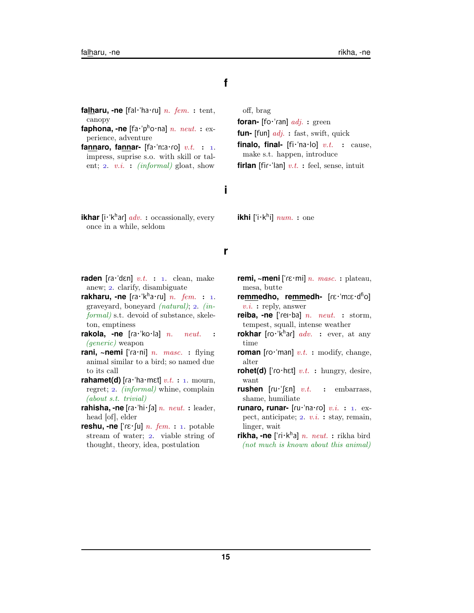## **f**

- **falharu, -ne** [fal·'ha·ru] n. fem. : tent, canopy
- **faphona, -ne**  $\lceil fa \cdot p^h \circ na \rceil n$ . neut. : experience, adventure
- **fannaro, fannar-**  $[\text{fa} \cdot \text{ha} \cdot \text{ro}]$  v.t. : 1. impress, suprise s.o. with skill or talent; 2. v.i. : (informal) gloat, show

off, brag

**foran-** [fo·'ran] *adj.* : green **fun-** [fun] *adj.* : fast, swift, quick **finalo, final-**  $[f\mathbf{i}\cdot'\mathbf{n}a\cdot\mathbf{lo}]$   $v.t.$  : cause, make s.t. happen, introduce **firlan** [fir·'lan]  $v.t.$  : feel, sense, intuit

# **i**

**ikhar** [i·'k<sup>h</sup>ar] *adv.* : occassionally, every once in a while, seldom

# **ikhi** ['i·k<sup>h</sup>i]  $num.$  : one

#### **r**

- **raden** [ra·'dɛn]  $v.t.$  : 1. clean, make anew; 2. clarify, disambiguate
- rakharu, -ne [ra·kha·ru] n. fem. : 1. graveyard, boneyard  $(natural)$ ; 2.  $(in$ formal) s.t. devoid of substance, skeleton, emptiness
- **rakola, -ne** [ra·'ko·la] n. neut. : (generic) weapon
- **rani, ~nemi** ['ra·ni] n. masc. : flying animal similar to a bird; so named due to its call
- **rahamet(d)** [ $ra·'ha·met] v.t. : 1. mourn,$ regret; 2. *(informal)* whine, complain (about s.t. trivial)
- **rahisha, -ne** [ra·'hi·fa]  $n.$   $neut.$  : leader, head [of], elder
- **reshu, -ne**  $[\text{r} \in \text{r} \cdot \text{u}]$  *n. fem.* : 1. potable stream of water; 2. viable string of thought, theory, idea, postulation
- **remi, ~meni** [' $r\epsilon$ ·mi] *n. masc.* : plateau, mesa, butte
- re<u>mm</u>edho, re<u>mm</u>edh- [ɾɛ·ˈmːɛ·d<sup>ɦ</sup>o]  $v.i.$ : reply, answer
- **reiba, -ne** ['rei·ba] *n. neut.* : storm, tempest, squall, intense weather
- **rokhar** [ro·<sup>'kh</sup>ar] *adv.* : ever, at any time
- **roman** [ $\text{ro·'man}$ ]  $v.t.$  : modify, change, alter
- **rohet(d)** ['ro·hɛt]  $v.t.$  : hungry, desire, want
- **rushen**  $\lceil \text{ru} \cdot \rceil \in \mathbb{R} \rceil$  *v.t.* : embarrass, shame, humiliate
- **runaro, runar-**  $\left[\text{ru}'\text{na} \cdot \text{ro}\right]$  v.i. : 1. expect, anticipate;  $2. v.i. : stay, remain,$ linger, wait
- **rikha, -ne** ['ɾi·kʰa] n. neut. : rikha bird (not much is known about this animal)